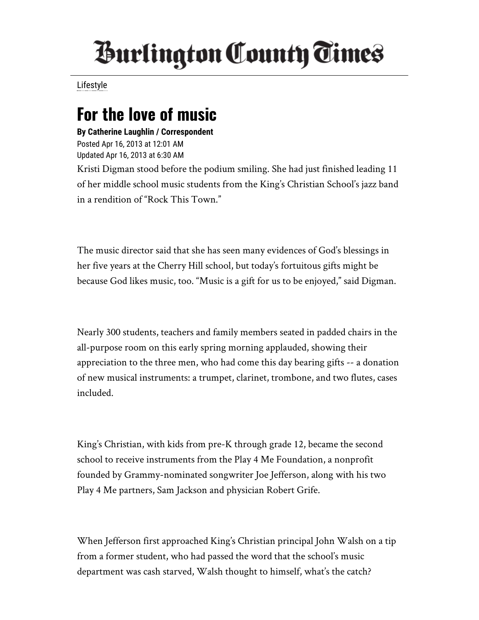## *Inrlington County Times*

[Lifestyle](http://www.burlingtoncountytimes.com/search?text=Lifestyle)

## For the love of music

By Catherine Laughlin / Correspondent Posted Apr 16, 2013 at 12:01 AM Updated Apr 16, 2013 at 6:30 AM Kristi Digman stood before the podium smiling. She had just finished leading 11 of her middle school music students from the King's Christian School's jazz band in a rendition of "Rock This Town."

The music director said that she has seen many evidences of God's blessings in her five years at the Cherry Hill school, but today's fortuitous gifts might be because God likes music, too. "Music is a gift for us to be enjoyed," said Digman.

Nearly 300 students, teachers and family members seated in padded chairs in the all-purpose room on this early spring morning applauded, showing their appreciation to the three men, who had come this day bearing gifts -- a donation of new musical instruments: a trumpet, clarinet, trombone, and two flutes, cases included.

King's Christian, with kids from pre-K through grade 12, became the second school to receive instruments from the Play 4 Me Foundation, a nonprofit founded by Grammy-nominated songwriter Joe Jefferson, along with his two Play 4 Me partners, Sam Jackson and physician Robert Grife.

When Jefferson first approached King's Christian principal John Walsh on a tip from a former student, who had passed the word that the school's music department was cash starved, Walsh thought to himself, what's the catch?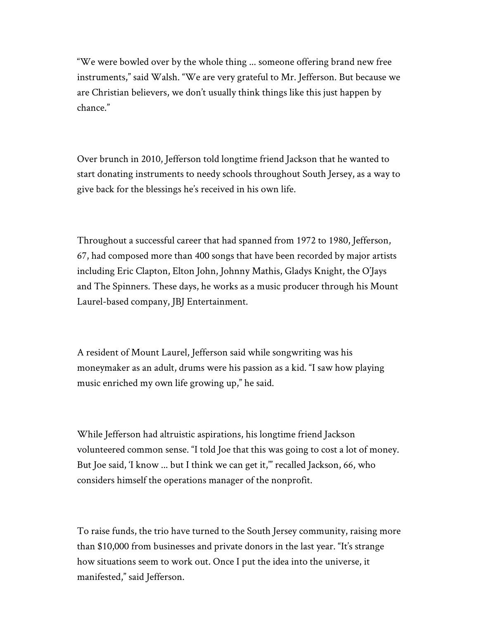"We were bowled over by the whole thing ... someone offering brand new free instruments," said Walsh. "We are very grateful to Mr. Jefferson. But because we are Christian believers, we don't usually think things like this just happen by chance."

Over brunch in 2010, Jefferson told longtime friend Jackson that he wanted to start donating instruments to needy schools throughout South Jersey, as a way to give back for the blessings he's received in his own life.

Throughout a successful career that had spanned from 1972 to 1980, Jefferson, 67, had composed more than 400 songs that have been recorded by major artists including Eric Clapton, Elton John, Johnny Mathis, Gladys Knight, the O'Jays and The Spinners. These days, he works as a music producer through his Mount Laurel-based company, JBJ Entertainment.

A resident of Mount Laurel, Jefferson said while songwriting was his moneymaker as an adult, drums were his passion as a kid. "I saw how playing music enriched my own life growing up," he said.

While Jefferson had altruistic aspirations, his longtime friend Jackson volunteered common sense. "I told Joe that this was going to cost a lot of money. But Joe said, 'I know ... but I think we can get it,'" recalled Jackson, 66, who considers himself the operations manager of the nonprofit.

To raise funds, the trio have turned to the South Jersey community, raising more than \$10,000 from businesses and private donors in the last year. "It's strange how situations seem to work out. Once I put the idea into the universe, it manifested," said Jefferson.